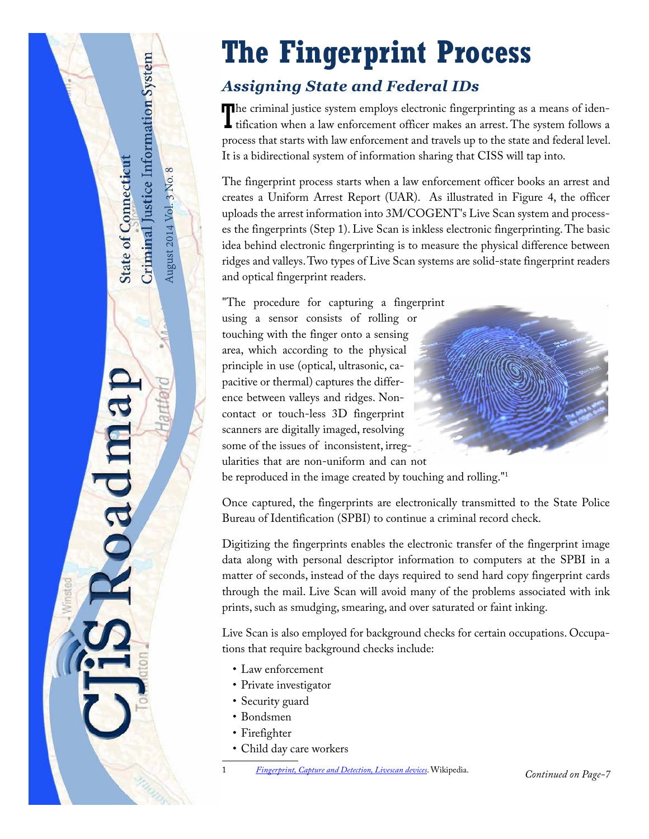## <span id="page-0-0"></span>**The Fingerprint Process** Criminal Justice Information System *Assigning State and Federal IDs* The criminal justice system employs electronic fingerprinting as a means of identification when a law enforcement officer makes an arrest. The system follows a **L** tification when a law enforcement officer makes an arrest. The system follows a process that starts with law enforcement and travels up to the state and federal level. It is a bidirectional system of information sharing that CISS will tap into. **State of Connecticut** August 2014 Vol. 3 No. 8 August 2014 Vol. 3 No. 8

oadma

The fingerprint process starts when a law enforcement officer books an arrest and creates a Uniform Arrest Report (UAR). As illustrated in [Figure 4](#page-6-0), the officer uploads the arrest information into 3M/COGENT's Live Scan system and processes the fingerprints (Step 1). Live Scan is inkless electronic fingerprinting. The basic idea behind electronic fingerprinting is to measure the physical difference between ridges and valleys. Two types of Live Scan systems are solid-state fingerprint readers and optical fingerprint readers.

"The procedure for capturing a fingerprint using a sensor consists of rolling or touching with the finger onto a sensing area, which according to the physical principle in use (optical, ultrasonic, capacitive or thermal) captures the difference between valleys and ridges. Noncontact or touch-less 3D fingerprint scanners are digitally imaged, resolving some of the issues of inconsistent, irregularities that are non-uniform and can not be reproduced in the image created by touching and rolling."<sup>1</sup>

Once captured, the fingerprints are electronically transmitted to the State Police Bureau of Identification (SPBI) to continue a criminal record check.

Digitizing the fingerprints enables the electronic transfer of the fingerprint image data along with personal descriptor information to computers at the SPBI in a matter of seconds, instead of the days required to send hard copy fingerprint cards through the mail. Live Scan will avoid many of the problems associated with ink prints, such as smudging, smearing, and over saturated or faint inking.

Live Scan is also employed for background checks for certain occupations. Occupations that require background checks include:

- Law enforcement
- Private investigator
- Security guard
- Bondsmen
- Firefighter
- Child day care workers
- <sup>1</sup> *[Fingerprint, Capture and Detection, Livescan devices](http://en.wikipedia.org/wiki/Fingerprint)*. Wikipedia. *Continued on Page-7*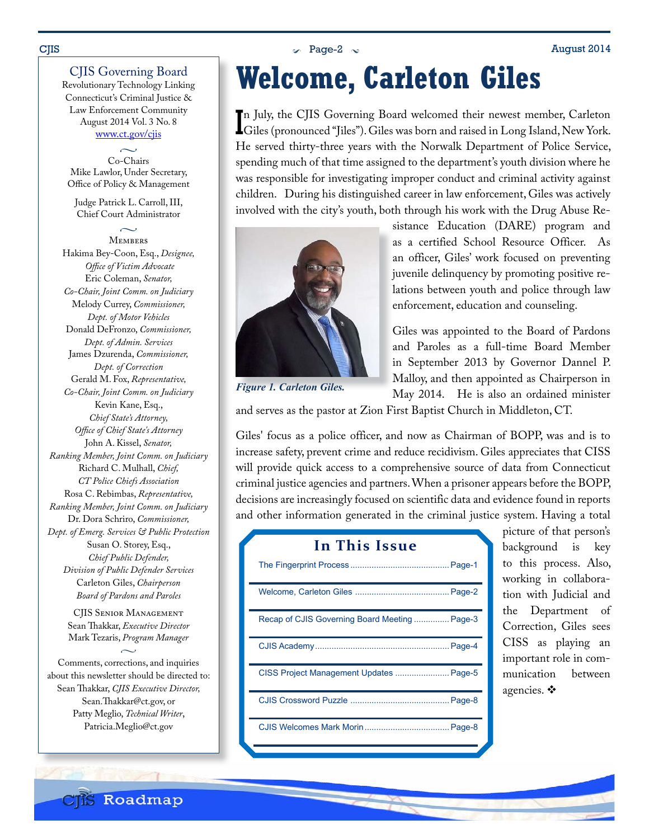#### $\sim$  Page-2  $\sim$  Page-2  $\sim$  August 2014

#### CJIS Governing Board

Revolutionary Technology Linking Connecticut's Criminal Justice & Law Enforcement Community August 2014 Vol. 3 No. 8 www.ct.gov/cjis

 $\sim$ 

Co-Chairs Mike Lawlor, Under Secretary, Office of Policy & Management

Judge Patrick L. Carroll, III, Chief Court Administrator

 $\sim$ **MEMBERS** Hakima Bey-Coon, Esq., *Designee, Office of Victim Advocate* Eric Coleman, *Senator, Co-Chair, Joint Comm. on Judiciary* Melody Currey, *Commissioner, Dept. of Motor Vehicles* Donald DeFronzo, *Commissioner, Dept. of Admin. Services* James Dzurenda, *Commissioner, Dept. of Correction* Gerald M. Fox, *Representative, Co-Chair, Joint Comm. on Judiciary* Kevin Kane, Esq., *Chief State's Attorney, Office of Chief State's Attorney* John A. Kissel, *Senator, Ranking Member, Joint Comm. on Judiciary* Richard C. Mulhall, *Chief, CT Police Chiefs Association* Rosa C. Rebimbas, *Representative, Ranking Member, Joint Comm. on Judiciary* Dr. Dora Schriro, *Commissioner, Dept. of Emerg. Services & Public Protection* Susan O. Storey, Esq., *Chief Public Defender, Division of Public Defender Services* Carleton Giles, *Chairperson Board of Pardons and Paroles*

> CJIS Senior Management Sean Thakkar, *Executive Director* Mark Tezaris, *Program Manager*  $\sim$

Comments, corrections, and inquiries about this newsletter should be directed to: Sean Thakkar, *CJIS Executive Director,* Sean.Thakkar@ct.gov, or Patty Meglio, *Technical Writer*, Patricia.Meglio@ct.gov

# **Welcome, Carleton Giles**

I Giles (pronounced "Jiles"). Giles was born and raised in Long Island, New York. n July, the CJIS Governing Board welcomed their newest member, Carleton He served thirty-three years with the Norwalk Department of Police Service, spending much of that time assigned to the department's youth division where he was responsible for investigating improper conduct and criminal activity against children. During his distinguished career in law enforcement, Giles was actively involved with the city's youth, both through his work with the Drug Abuse Re-



*Figure 1. Carleton Giles.*

sistance Education (DARE) program and as a certified School Resource Officer. As an officer, Giles' work focused on preventing juvenile delinquency by promoting positive relations between youth and police through law enforcement, education and counseling.

Giles was appointed to the Board of Pardons and Paroles as a full-time Board Member in September 2013 by Governor Dannel P. Malloy, and then appointed as Chairperson in May 2014. He is also an ordained minister

and serves as the pastor at Zion First Baptist Church in Middleton, CT.

Giles' focus as a police officer, and now as Chairman of BOPP, was and is to increase safety, prevent crime and reduce recidivism. Giles appreciates that CISS will provide quick access to a comprehensive source of data from Connecticut criminal justice agencies and partners. When a prisoner appears before the BOPP, decisions are increasingly focused on scientific data and evidence found in reports and other information generated in the criminal justice system. Having a total

| In This Issue                                 |
|-----------------------------------------------|
|                                               |
|                                               |
| Recap of CJIS Governing Board Meeting  Page-3 |
|                                               |
| CISS Project Management Updates  Page-5       |
|                                               |
|                                               |

picture of that person's background is key to this process. Also, working in collaboration with Judicial and the Department of Correction, Giles sees CISS as playing an important role in communication between agencies.  $\mathbf{\hat{v}}$ 

**CIIS Roadmap**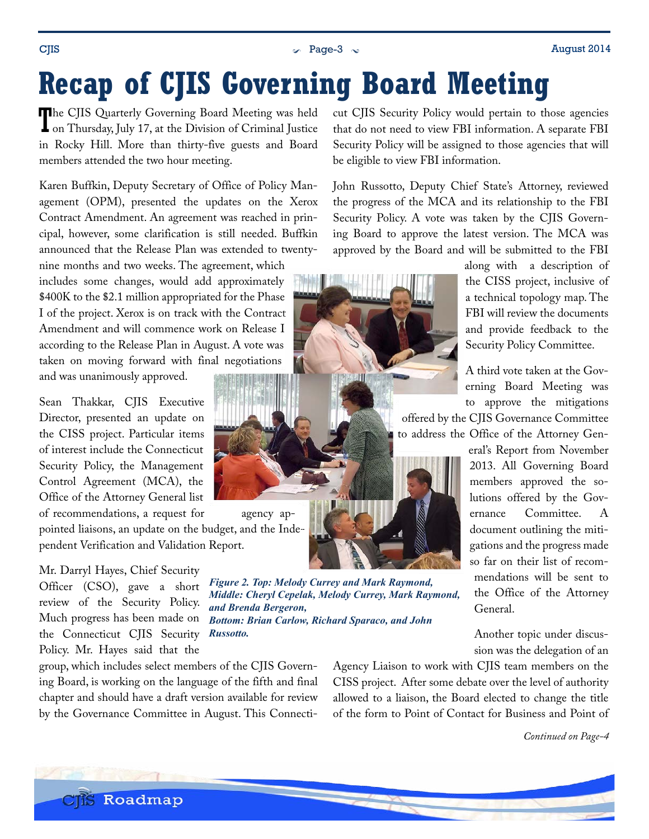<span id="page-2-0"></span> $\sim$  Page-3  $\sim$  Page-3  $\sim$  August 2014

# **Recap of CJIS Governing Board Meeting**

The CJIS Quarterly Governing Board Meeting was held<br>on Thursday, July 17, at the Division of Criminal Justice The CJIS Quarterly Governing Board Meeting was held in Rocky Hill. More than thirty-five guests and Board members attended the two hour meeting.

Karen Buffkin, Deputy Secretary of Office of Policy Management (OPM), presented the updates on the Xerox Contract Amendment. An agreement was reached in principal, however, some clarification is still needed. Buffkin announced that the Release Plan was extended to twenty-

nine months and two weeks. The agreement, which includes some changes, would add approximately \$400K to the \$2.1 million appropriated for the Phase I of the project. Xerox is on track with the Contract Amendment and will commence work on Release I according to the Release Plan in August. A vote was taken on moving forward with final negotiations and was unanimously approved.

Sean Thakkar, CJIS Executive

Director, presented an update on the CISS project. Particular items of interest include the Connecticut Security Policy, the Management Control Agreement (MCA), the Office of the Attorney General list of recommendations, a request for agency ap-

pointed liaisons, an update on the budget, and the Independent Verification and Validation Report.

Mr. Darryl Hayes, Chief Security Officer (CSO), gave a short review of the Security Policy. Much progress has been made on the Connecticut CJIS Security Policy. Mr. Hayes said that the

group, which includes select members of the CJIS Governing Board, is working on the language of the fifth and final chapter and should have a draft version available for review by the Governance Committee in August. This Connecticut CJIS Security Policy would pertain to those agencies that do not need to view FBI information. A separate FBI Security Policy will be assigned to those agencies that will be eligible to view FBI information.

John Russotto, Deputy Chief State's Attorney, reviewed the progress of the MCA and its relationship to the FBI Security Policy. A vote was taken by the CJIS Governing Board to approve the latest version. The MCA was approved by the Board and will be submitted to the FBI



along with a description of the CISS project, inclusive of a technical topology map. The FBI will review the documents and provide feedback to the Security Policy Committee.

A third vote taken at the Governing Board Meeting was to approve the mitigations

offered by the CJIS Governance Committee to address the Office of the Attorney Gen-

> eral's Report from November 2013. All Governing Board members approved the solutions offered by the Governance Committee. A document outlining the mitigations and the progress made so far on their list of recommendations will be sent to the Office of the Attorney General.

Another topic under discussion was the delegation of an

Agency Liaison to work with CJIS team members on the CISS project. After some debate over the level of authority allowed to a liaison, the Board elected to change the title of the form to Point of Contact for Business and Point of

*Continued on Page-4*



*Figure 2. Top: Melody Currey and Mark Raymond, Middle: Cheryl Cepelak, Melody Currey, Mark Raymond,* 

*Bottom: Brian Carlow, Richard Sparaco, and John* 

*and Brenda Bergeron,*

*Russotto.*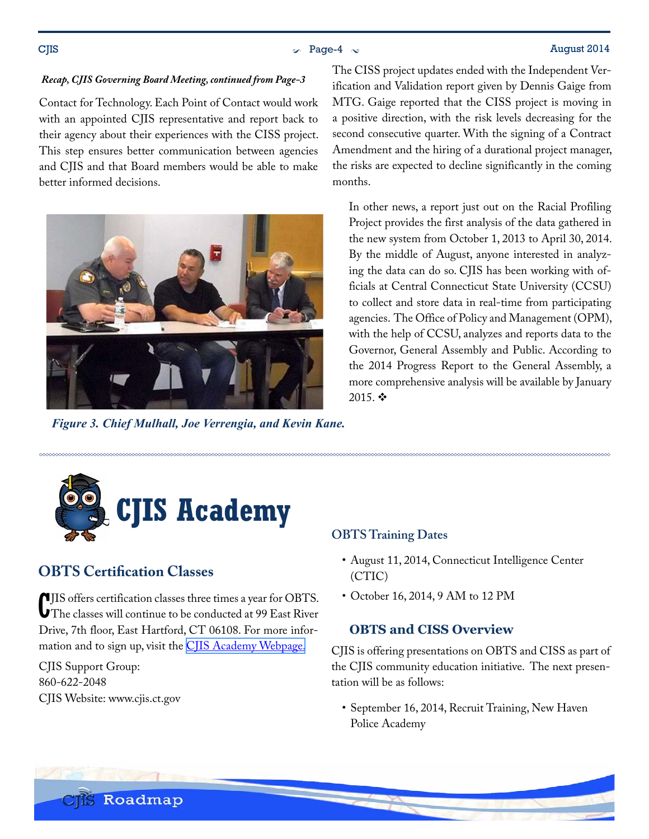#### <span id="page-3-0"></span> $\sim$  Page-4  $\sim$  August 2014

#### *Recap, CJIS Governing Board Meeting, continued from Page-3*

Contact for Technology. Each Point of Contact would work with an appointed CJIS representative and report back to their agency about their experiences with the CISS project. This step ensures better communication between agencies and CJIS and that Board members would be able to make better informed decisions.



*Figure 3. Chief Mulhall, Joe Verrengia, and Kevin Kane.*

The CISS project updates ended with the Independent Verification and Validation report given by Dennis Gaige from MTG. Gaige reported that the CISS project is moving in a positive direction, with the risk levels decreasing for the second consecutive quarter. With the signing of a Contract Amendment and the hiring of a durational project manager, the risks are expected to decline significantly in the coming months.

In other news, a report just out on the Racial Profiling Project provides the first analysis of the data gathered in the new system from October 1, 2013 to April 30, 2014. By the middle of August, anyone interested in analyzing the data can do so. CJIS has been working with officials at Central Connecticut State University (CCSU) to collect and store data in real-time from participating agencies. The Office of Policy and Management (OPM), with the help of CCSU, analyzes and reports data to the Governor, General Assembly and Public. According to the 2014 Progress Report to the General Assembly, a more comprehensive analysis will be available by January 2015. $\mathbf{\hat{P}}$ 



## **OBTS Certification Classes**

C JIS offers certification classes three times a year for OBTS. The classes will continue to be conducted at 99 East River Drive, 7th floor, East Hartford, CT 06108. For more infor-mation and to sign up, visit the [CJIS Academy Webpage.](http://www.ct.gov/cjis/cwp/view.asp?a=4070&q=536902)

CJIS Support Group: 860-622-2048 CJIS Website: www.cjis.ct.gov

#### **OBTS Training Dates**

- August 11, 2014, Connecticut Intelligence Center (CTIC)
- October 16, 2014, 9 AM to 12 PM

#### **OBTS and CISS Overview**

CJIS is offering presentations on OBTS and CISS as part of the CJIS community education initiative. The next presentation will be as follows:

• September 16, 2014, Recruit Training, New Haven Police Academy

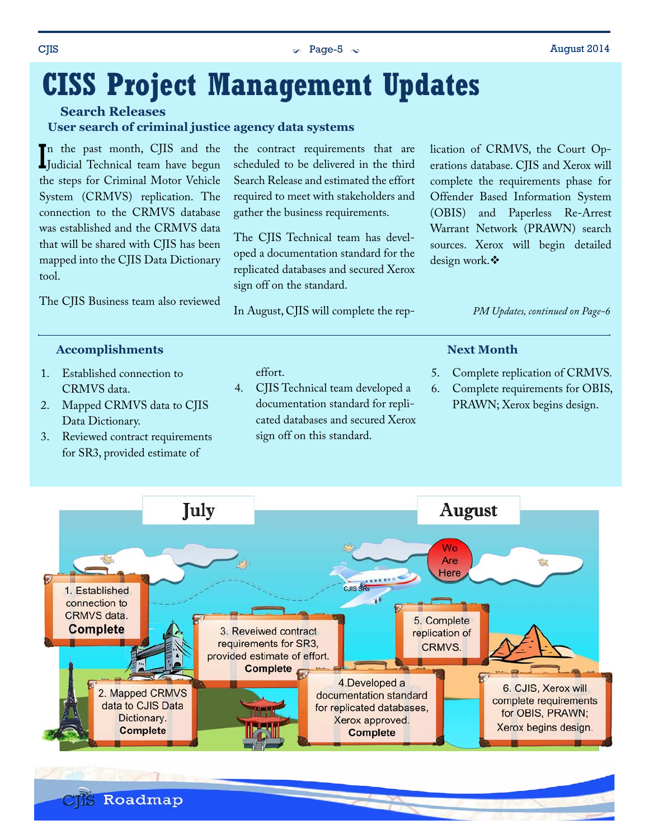### <span id="page-4-0"></span> $\sim$  Page-5  $\sim$  Page-6  $\sim$  August 2014

## **CISS Project Management Updates**

**Search Releases**

**User search of criminal justice agency data systems**

In the past month, CJIS and the Judicial Technical team have begun Judicial Technical team have begun the steps for Criminal Motor Vehicle System (CRMVS) replication. The connection to the CRMVS database was established and the CRMVS data that will be shared with CJIS has been mapped into the CJIS Data Dictionary tool.

The CJIS Business team also reviewed

the contract requirements that are scheduled to be delivered in the third Search Release and estimated the effort required to meet with stakeholders and gather the business requirements.

The CJIS Technical team has developed a documentation standard for the replicated databases and secured Xerox sign off on the standard.

In August, CJIS will complete the rep-

lication of CRMVS, the Court Operations database. CJIS and Xerox will complete the requirements phase for Offender Based Information System (OBIS) and Paperless Re-Arrest Warrant Network (PRAWN) search sources. Xerox will begin detailed design work. ❖

*PM Updates, continued on Page-6*

#### **Accomplishments**

- 1. Established connection to CRMVS data.
- 2. Mapped CRMVS data to CJIS Data Dictionary.
- 3. Reviewed contract requirements for SR3, provided estimate of

#### effort.

4. CJIS Technical team developed a documentation standard for replicated databases and secured Xerox sign off on this standard.

#### **Next Month**

- 5. Complete replication of CRMVS.
- 6. Complete requirements for OBIS, PRAWN; Xerox begins design.

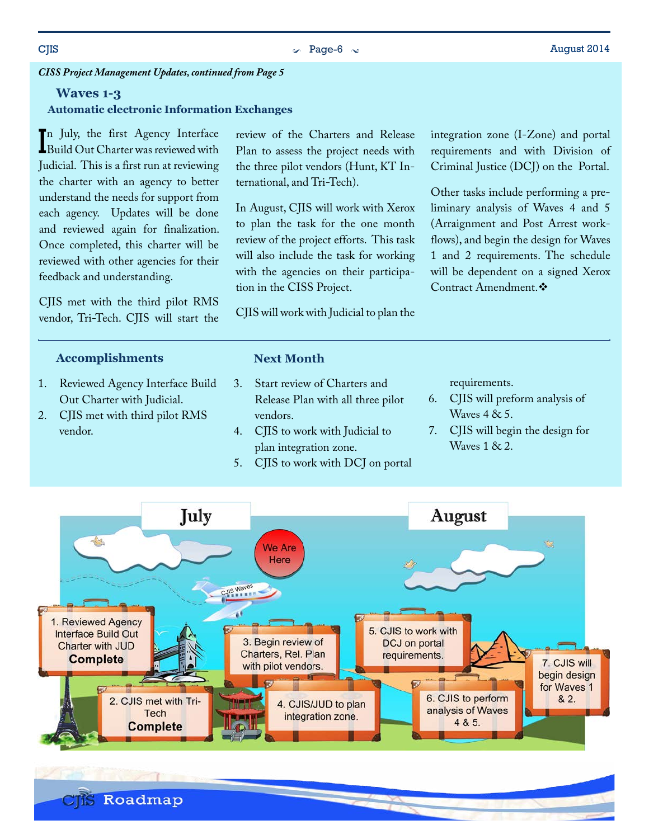### *CISS Project Management Updates, continued from Page 5*

#### **Waves 1-3**

#### **Automatic electronic Information Exchanges**

In July, the first Agency Interface<br>Build Out Charter was reviewed with n July, the first Agency Interface Judicial. This is a first run at reviewing the charter with an agency to better understand the needs for support from each agency. Updates will be done and reviewed again for finalization. Once completed, this charter will be reviewed with other agencies for their feedback and understanding.

CJIS met with the third pilot RMS vendor, Tri-Tech. CJIS will start the

#### **Accomplishments**

- 1. Reviewed Agency Interface Build Out Charter with Judicial.
- 2. CJIS met with third pilot RMS vendor.

review of the Charters and Release Plan to assess the project needs with the three pilot vendors (Hunt, KT International, and Tri-Tech).

In August, CJIS will work with Xerox to plan the task for the one month review of the project efforts. This task will also include the task for working with the agencies on their participation in the CISS Project.

CJIS will work with Judicial to plan the

**Next Month**

6. CJIS will preform analysis of Waves 4 & 5.

Contract Amendment. ❖

integration zone (I-Zone) and portal requirements and with Division of Criminal Justice (DCJ) on the Portal.

Other tasks include performing a preliminary analysis of Waves 4 and 5 (Arraignment and Post Arrest workflows), and begin the design for Waves 1 and 2 requirements. The schedule will be dependent on a signed Xerox

7. CJIS will begin the design for Waves 1 & 2.



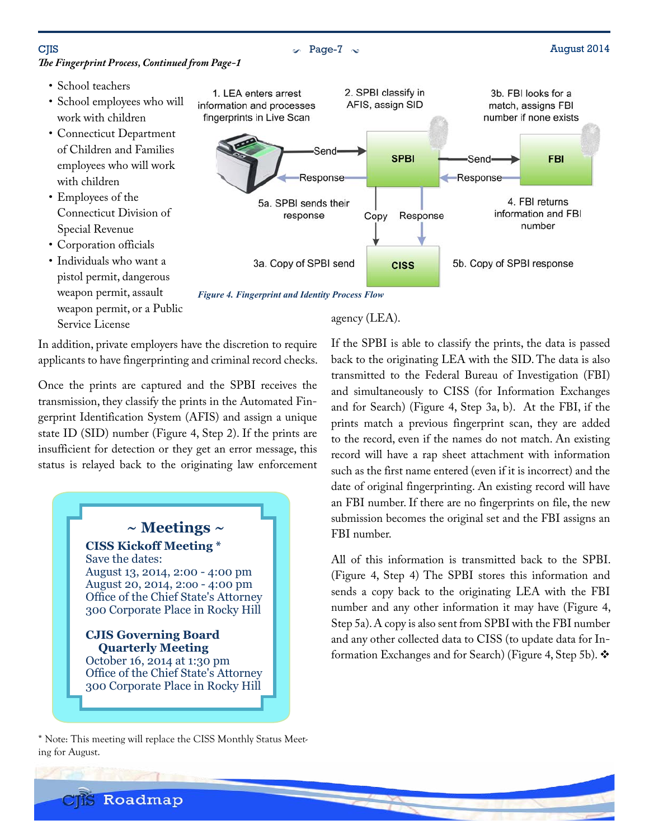### $\sim$  Page-7  $\sim$  August 2014

- School teachers
- School employees who will work with children
- Connecticut Department of Children and Families employees who will work with children
- Employees of the Connecticut Division of Special Revenue
- Corporation officials
- Individuals who want a pistol permit, dangerous weapon permit, assault weapon permit, or a Public Service License



*Figure 4. Fingerprint and Identity Process Flow*

In addition, private employers have the discretion to require applicants to have fingerprinting and criminal record checks.

Once the prints are captured and the SPBI receives the transmission, they classify the prints in the Automated Fingerprint Identification System (AFIS) and assign a unique state ID (SID) number [\(Figure 4](#page-6-0), Step 2). If the prints are insufficient for detection or they get an error message, this status is relayed back to the originating law enforcement



\* Note: This meeting will replace the CISS Monthly Status Meeting for August.

<span id="page-6-0"></span>agency (LEA).

If the SPBI is able to classify the prints, the data is passed back to the originating LEA with the SID. The data is also transmitted to the Federal Bureau of Investigation (FBI) and simultaneously to CISS (for Information Exchanges and for Search) [\(Figure 4,](#page-6-0) Step 3a, b). At the FBI, if the prints match a previous fingerprint scan, they are added to the record, even if the names do not match. An existing record will have a rap sheet attachment with information such as the first name entered (even if it is incorrect) and the date of original fingerprinting. An existing record will have an FBI number. If there are no fingerprints on file, the new submission becomes the original set and the FBI assigns an FBI number.

All of this information is transmitted back to the SPBI. [\(Figure 4](#page-6-0), Step 4) The SPBI stores this information and sends a copy back to the originating LEA with the FBI number and any other information it may have [\(Figure 4,](#page-6-0) Step 5a). A copy is also sent from SPBI with the FBI number and any other collected data to CISS (to update data for In-formation Exchanges and for Search) ([Figure 4,](#page-6-0) Step 5b).

**CIS** Roadmap

## *The Fingerprint Process, Continued from Page-1*